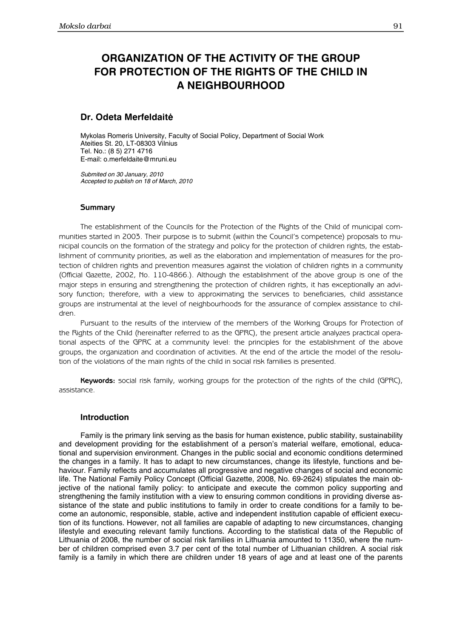# ORGANIZATION OF THE ACTIVITY OF THE GROUP FOR PROTECTION OF THE RIGHTS OF THE CHILD IN A NEIGHBOURHOOD

# Dr. Odeta Merfeldaitė

Mykolas Romeris University, Faculty of Social Policy, Department of Social Work Ateities St. 20, LT-08303 Vilnius Tel. No.: (8 5) 271 4716 E-mail: o.merfeldaite@mruni.eu

*Submited on 30 January, 2010 Accepted to publish on 18 of March, 2010* 

## **Summary**

The establishment of the Councils for the Protection of the Rights of the Child of municipal communities started in 2003. Their purpose is to submit (within the Council's competence) proposals to municipal councils on the formation of the strategy and policy for the protection of children rights, the establishment of community priorities, as well as the elaboration and implementation of measures for the protection of children rights and prevention measures against the violation of children rights in a community (Official Gazette, 2002, No. 110-4866.). Although the establishment of the above group is one of the major steps in ensuring and strengthening the protection of children rights, it has exceptionally an advisory function; therefore, with a view to approximating the services to beneficiaries, child assistance groups are instrumental at the level of neighbourhoods for the assurance of complex assistance to children.

Pursuant to the results of the interview of the members of the Working Groups for Protection of the Rights of the Child (hereinafter referred to as the GPRC), the present article analyzes practical operational aspects of the GPRC at a community level: the principles for the establishment of the above groups, the organization and coordination of activities. At the end of the article the model of the resolution of the violations of the main rights of the child in social risk families is presented.

Keywords: social risk family, working groups for the protection of the rights of the child (GPRC), assistance.

## **Introduction**

Family is the primary link serving as the basis for human existence, public stability, sustainability and development providing for the establishment of a person's material welfare, emotional, educational and supervision environment. Changes in the public social and economic conditions determined the changes in a family. It has to adapt to new circumstances, change its lifestyle, functions and behaviour. Family reflects and accumulates all progressive and negative changes of social and economic life. The National Family Policy Concept (Official Gazette, 2008, No. 69-2624) stipulates the main objective of the national family policy: to anticipate and execute the common policy supporting and strengthening the family institution with a view to ensuring common conditions in providing diverse assistance of the state and public institutions to family in order to create conditions for a family to become an autonomic, responsible, stable, active and independent institution capable of efficient execution of its functions. However, not all families are capable of adapting to new circumstances, changing lifestyle and executing relevant family functions. According to the statistical data of the Republic of Lithuania of 2008, the number of social risk families in Lithuania amounted to 11350, where the number of children comprised even 3.7 per cent of the total number of Lithuanian children. A social risk family is a family in which there are children under 18 years of age and at least one of the parents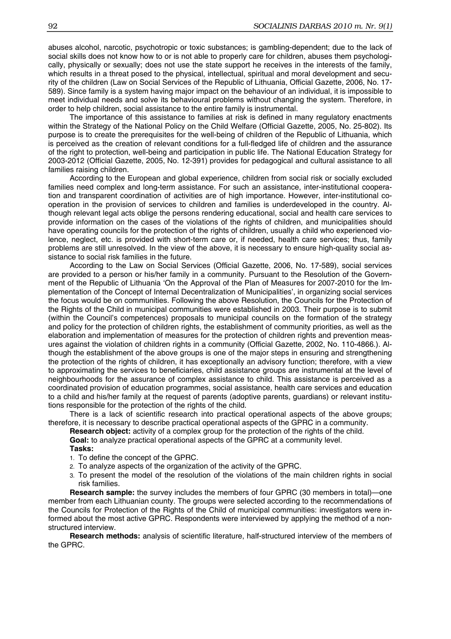abuses alcohol, narcotic, psychotropic or toxic substances; is gambling-dependent; due to the lack of social skills does not know how to or is not able to properly care for children, abuses them psychologically, physically or sexually; does not use the state support he receives in the interests of the family, which results in a threat posed to the physical, intellectual, spiritual and moral development and security of the children (Law on Social Services of the Republic of Lithuania, Official Gazette, 2006, No. 17- 589). Since family is a system having major impact on the behaviour of an individual, it is impossible to meet individual needs and solve its behavioural problems without changing the system. Therefore, in order to help children, social assistance to the entire family is instrumental.

The importance of this assistance to families at risk is defined in many regulatory enactments within the Strategy of the National Policy on the Child Welfare (Official Gazette, 2005, No. 25-802). Its purpose is to create the prerequisites for the well-being of children of the Republic of Lithuania, which is perceived as the creation of relevant conditions for a full-fledged life of children and the assurance of the right to protection, well-being and participation in public life. The National Education Strategy for 2003-2012 (Official Gazette, 2005, No. 12-391) provides for pedagogical and cultural assistance to all families raising children.

According to the European and global experience, children from social risk or socially excluded families need complex and long-term assistance. For such an assistance, inter-institutional cooperation and transparent coordination of activities are of high importance. However, inter-institutional cooperation in the provision of services to children and families is underdeveloped in the country. Although relevant legal acts oblige the persons rendering educational, social and health care services to provide information on the cases of the violations of the rights of children, and municipalities should have operating councils for the protection of the rights of children, usually a child who experienced violence, neglect, etc. is provided with short-term care or, if needed, health care services; thus, family problems are still unresolved. In the view of the above, it is necessary to ensure high-quality social assistance to social risk families in the future.

According to the Law on Social Services (Official Gazette, 2006, No. 17-589), social services are provided to a person or his/her family in a community. Pursuant to the Resolution of the Government of the Republic of Lithuania 'On the Approval of the Plan of Measures for 2007-2010 for the Implementation of the Concept of Internal Decentralization of Municipalities', in organizing social services the focus would be on communities. Following the above Resolution, the Councils for the Protection of the Rights of the Child in municipal communities were established in 2003. Their purpose is to submit (within the Council's competences) proposals to municipal councils on the formation of the strategy and policy for the protection of children rights, the establishment of community priorities, as well as the elaboration and implementation of measures for the protection of children rights and prevention measures against the violation of children rights in a community (Official Gazette, 2002, No. 110-4866.). Although the establishment of the above groups is one of the major steps in ensuring and strengthening the protection of the rights of children, it has exceptionally an advisory function; therefore, with a view to approximating the services to beneficiaries, child assistance groups are instrumental at the level of neighbourhoods for the assurance of complex assistance to child. This assistance is perceived as a coordinated provision of education programmes, social assistance, health care services and education to a child and his/her family at the request of parents (adoptive parents, guardians) or relevant institutions responsible for the protection of the rights of the child.

There is a lack of scientific research into practical operational aspects of the above groups; therefore, it is necessary to describe practical operational aspects of the GPRC in a community.

**Research object:** activity of a complex group for the protection of the rights of the child.

**Goal:** to analyze practical operational aspects of the GPRC at a community level. **Tasks:** 

- 1. To define the concept of the GPRC.
- 2. To analyze aspects of the organization of the activity of the GPRC.
- 3. To present the model of the resolution of the violations of the main children rights in social risk families.

**Research sample:** the survey includes the members of four GPRC (30 members in total)—one member from each Lithuanian county. The groups were selected according to the recommendations of the Councils for Protection of the Rights of the Child of municipal communities: investigators were informed about the most active GPRC. Respondents were interviewed by applying the method of a nonstructured interview.

**Research methods:** analysis of scientific literature, half-structured interview of the members of the GPRC.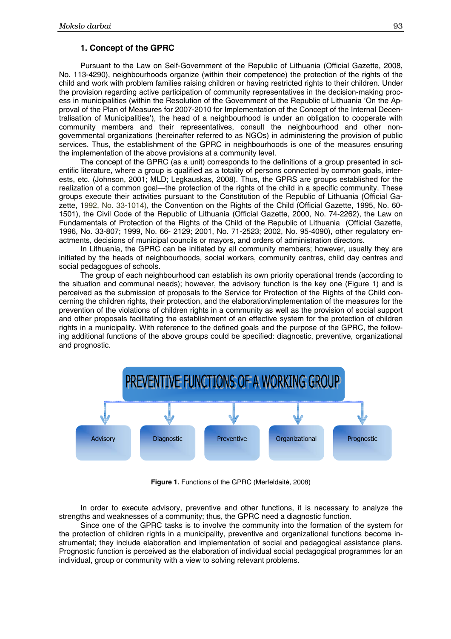# **1. Concept of the GPRC**

Pursuant to the Law on Self-Government of the Republic of Lithuania (Official Gazette, 2008, No. 113-4290), neighbourhoods organize (within their competence) the protection of the rights of the child and work with problem families raising children or having restricted rights to their children. Under the provision regarding active participation of community representatives in the decision-making process in municipalities (within the Resolution of the Government of the Republic of Lithuania 'On the Approval of the Plan of Measures for 2007-2010 for Implementation of the Concept of the Internal Decentralisation of Municipalities'), the head of a neighbourhood is under an obligation to cooperate with community members and their representatives, consult the neighbourhood and other nongovernmental organizations (hereinafter referred to as NGOs) in administering the provision of public services. Thus, the establishment of the GPRC in neighbourhoods is one of the measures ensuring the implementation of the above provisions at a community level.

The concept of the GPRC (as a unit) corresponds to the definitions of a group presented in scientific literature, where a group is qualified as a totality of persons connected by common goals, interests, etc. (Johnson, 2001; MLD; Legkauskas, 2008). Thus, the GPRS are groups established for the realization of a common goal—the protection of the rights of the child in a specific community. These groups execute their activities pursuant to the Constitution of the Republic of Lithuania (Official Gazette, 1992, No. 33-1014), the Convention on the Rights of the Child (Official Gazette, 1995, No. 60- 1501), the Civil Code of the Republic of Lithuania (Official Gazette, 2000, No. 74-2262), the Law on Fundamentals of Protection of the Rights of the Child of the Republic of Lithuania (Official Gazette, 1996, No. 33-807; 1999, No. 66- 2129; 2001, No. 71-2523; 2002, No. 95-4090), other regulatory enactments, decisions of municipal councils or mayors, and orders of administration directors.

In Lithuania, the GPRC can be initiated by all community members; however, usually they are initiated by the heads of neighbourhoods, social workers, community centres, child day centres and social pedagogues of schools.

The group of each neighbourhood can establish its own priority operational trends (according to the situation and communal needs); however, the advisory function is the key one (Figure 1) and is perceived as the submission of proposals to the Service for Protection of the Rights of the Child concerning the children rights, their protection, and the elaboration/implementation of the measures for the prevention of the violations of children rights in a community as well as the provision of social support and other proposals facilitating the establishment of an effective system for the protection of children rights in a municipality. With reference to the defined goals and the purpose of the GPRC, the following additional functions of the above groups could be specified: diagnostic, preventive, organizational and prognostic.



**Figure 1.** Functions of the GPRC (Merfeldaitė, 2008)

In order to execute advisory, preventive and other functions, it is necessary to analyze the strengths and weaknesses of a community; thus, the GPRC need a diagnostic function.

Since one of the GPRC tasks is to involve the community into the formation of the system for the protection of children rights in a municipality, preventive and organizational functions become instrumental; they include elaboration and implementation of social and pedagogical assistance plans. Prognostic function is perceived as the elaboration of individual social pedagogical programmes for an individual, group or community with a view to solving relevant problems.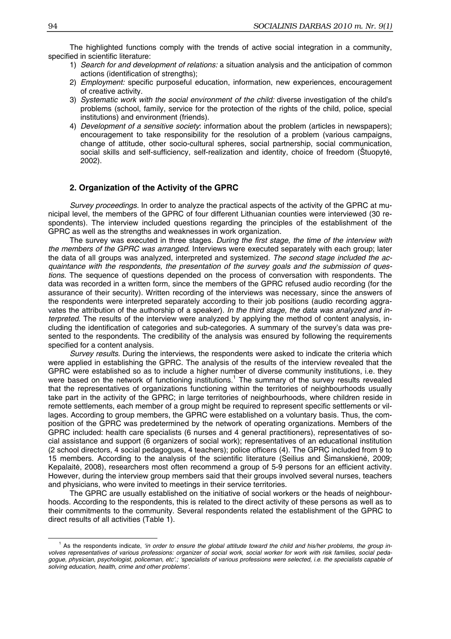The highlighted functions comply with the trends of active social integration in a community, specified in scientific literature:

- 1) *Search for and development of relations:* a situation analysis and the anticipation of common actions (identification of strengths);
- 2) *Employment:* specific purposeful education, information, new experiences, encouragement of creative activity.
- 3) *Systematic work with the social environment of the child:* diverse investigation of the child's problems (school, family, service for the protection of the rights of the child, police, special institutions) and environment (friends).
- 4) *Development of a sensitive society*: information about the problem (articles in newspapers); encouragement to take responsibility for the resolution of a problem (various campaigns, change of attitude, other socio-cultural spheres, social partnership, social communication, social skills and self-sufficiency, self-realization and identity, choice of freedom (Štuopytė, 2002).

# **2. Organization of the Activity of the GPRC**

*Survey proceedings.* In order to analyze the practical aspects of the activity of the GPRC at municipal level, the members of the GPRC of four different Lithuanian counties were interviewed (30 respondents). The interview included questions regarding the principles of the establishment of the GPRC as well as the strengths and weaknesses in work organization.

The survey was executed in three stages. *During the first stage, the time of the interview with the members of the GPRC was arranged*. Interviews were executed separately with each group; later the data of all groups was analyzed, interpreted and systemized*. The second stage included the acquaintance with the respondents, the presentation of the survey goals and the submission of questions*. The sequence of questions depended on the process of conversation with respondents. The data was recorded in a written form, since the members of the GPRC refused audio recording (for the assurance of their security). Written recording of the interviews was necessary, since the answers of the respondents were interpreted separately according to their job positions (audio recording aggravates the attribution of the authorship of a speaker). *In the third stage, the data was analyzed and interpreted*. The results of the interview were analyzed by applying the method of content analysis, including the identification of categories and sub-categories. A summary of the survey's data was presented to the respondents. The credibility of the analysis was ensured by following the requirements specified for a content analysis.

*Survey results.* During the interviews, the respondents were asked to indicate the criteria which were applied in establishing the GPRC. The analysis of the results of the interview revealed that the GPRC were established so as to include a higher number of diverse community institutions, i.e. they were based on the network of functioning institutions.<sup>1</sup> The summary of the survey results revealed that the representatives of organizations functioning within the territories of neighbourhoods usually take part in the activity of the GPRC; in large territories of neighbourhoods, where children reside in remote settlements, each member of a group might be required to represent specific settlements or villages. According to group members, the GPRC were established on a voluntary basis*.* Thus, the composition of the GPRC was predetermined by the network of operating organizations. Members of the GPRC included: health care specialists (6 nurses and 4 general practitioners), representatives of social assistance and support (6 organizers of social work); representatives of an educational institution (2 school directors, 4 social pedagogues, 4 teachers); police officers (4). The GPRC included from 9 to 15 members. According to the analysis of the scientific literature (Seilius and Šimanskienė, 2009; Kepalaitė, 2008), researchers most often recommend a group of 5-9 persons for an efficient activity. However, during the interview group members said that their groups involved several nurses, teachers and physicians, who were invited to meetings in their service territories.

The GPRC are usually established on the initiative of social workers or the heads of neighbourhoods. According to the respondents, this is related to the direct activity of these persons as well as to their commitments to the community. Several respondents related the establishment of the GPRC to direct results of all activities (Table 1).

 $\overline{\phantom{0}}$ <sup>1</sup> As the respondents indicate, *'in order to ensure the global attitude toward the child and his/her problems, the group involves representatives of various professions: organizer of social work, social worker for work with risk families, social pedagogue, physician, psychologist, policeman, etc'.; 'specialists of various professions were selected, i.e. the specialists capable of solving education, health, crime and other problems'*.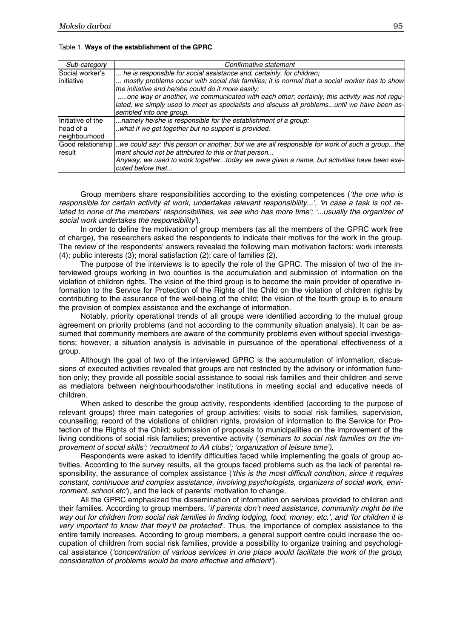| Sub-category      | Confirmative statement                                                                                         |
|-------------------|----------------------------------------------------------------------------------------------------------------|
| Social worker's   | he is responsible for social assistance and, certainly, for children;                                          |
| initiative        | mostly problems occur with social risk families; it is normal that a social worker has to show                 |
|                   | the initiative and he/she could do it more easily;                                                             |
|                   | one way or another, we communicated with each other; certainly, this activity was not regu-                    |
|                   | lated, we simply used to meet as specialists and discuss all problemsuntil we have been as-                    |
|                   | sembled into one group.                                                                                        |
| Initiative of the | namely he/she is responsible for the establishment of a group;                                                 |
| head of a         | what if we get together but no support is provided.                                                            |
| neighbourhood     |                                                                                                                |
|                   | Good relationship we could say: this person or another, but we are all responsible for work of such a groupthe |
| result            | merit should not be attributed to this or that person                                                          |
|                   | Anyway, we used to work togethertoday we were given a name, but activities have been exe-<br>cuted before that |

#### Table 1. **Ways of the establishment of the GPRC**

Group members share responsibilities according to the existing competences (*'the one who is responsible for certain activity at work, undertakes relevant responsibility...', 'in case a task is not related to none of the members' responsibilities, we see who has more time'; '...usually the organizer of social work undertakes the responsibility'*).

In order to define the motivation of group members (as all the members of the GPRC work free of charge), the researchers asked the respondents to indicate their motives for the work in the group. The review of the respondents' answers revealed the following main motivation factors: work interests (4); public interests (3); moral satisfaction (2); care of families (2).

The purpose of the interviews is to specify the role of the GPRC. The mission of two of the interviewed groups working in two counties is the accumulation and submission of information on the violation of children rights. The vision of the third group is to become the main provider of operative information to the Service for Protection of the Rights of the Child on the violation of children rights by contributing to the assurance of the well-being of the child; the vision of the fourth group is to ensure the provision of complex assistance and the exchange of information.

Notably, priority operational trends of all groups were identified according to the mutual group agreement on priority problems (and not according to the community situation analysis). It can be assumed that community members are aware of the community problems even without special investigations; however, a situation analysis is advisable in pursuance of the operational effectiveness of a group.

Although the goal of two of the interviewed GPRC is the accumulation of information, discussions of executed activities revealed that groups are not restricted by the advisory or information function only; they provide all possible social assistance to social risk families and their children and serve as mediators between neighbourhoods/other institutions in meeting social and educative needs of children.

When asked to describe the group activity, respondents identified (according to the purpose of relevant groups) three main categories of group activities: visits to social risk families, supervision, counselling; record of the violations of children rights, provision of information to the Service for Protection of the Rights of the Child; submission of proposals to municipalities on the improvement of the living conditions of social risk families; preventive activity (*'seminars to social risk families on the improvement of social skills'; 'recruitment to AA clubs'; 'organization of leisure time')*.

Respondents were asked to identify difficulties faced while implementing the goals of group activities. According to the survey results, all the groups faced problems such as the lack of parental responsibility, the assurance of complex assistance (*'this is the most difficult condition, since it requires constant, continuous and complex assistance, involving psychologists, organizers of social work, environment, school etc'*), and the lack of parents' motivation to change.

All the GPRC emphasized the dissemination of information on services provided to children and their families. According to group members, '*if parents don't need assistance, community might be the way out for children from social risk families in finding lodging, food, money, etc.', and 'for children it is very important to know that they'll be protected*'. Thus, the importance of complex assistance to the entire family increases. According to group members, a general support centre could increase the occupation of children from social risk families, provide a possibility to organize training and psychological assistance (*'concentration of various services in one place would facilitate the work of the group*, *consideration of problems would be more effective and efficient'*).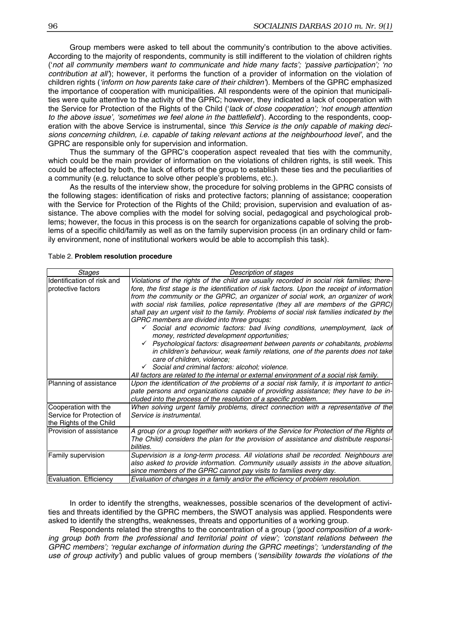Group members were asked to tell about the community's contribution to the above activities. According to the majority of respondents, community is still indifferent to the violation of children rights ('*not all community members want to communicate and hide many facts'; 'passive participation'; 'no contribution at all'*); however, it performs the function of a provider of information on the violation of children rights (*'inform on how parents take care of their children'*). Members of the GPRC emphasized the importance of cooperation with municipalities. All respondents were of the opinion that municipalities were quite attentive to the activity of the GPRC; however, they indicated a lack of cooperation with the Service for Protection of the Rights of the Child ('*lack of close cooperation'; 'not enough attention to the above issue', 'sometimes we feel alone in the battlefield*'). According to the respondents, cooperation with the above Service is instrumental, since *'this Service is the only capable of making decisions concerning children, i.e. capable of taking relevant actions at the neighbourhood level'*, and the GPRC are responsible only for supervision and information.

Thus the summary of the GPRC's cooperation aspect revealed that ties with the community, which could be the main provider of information on the violations of children rights, is still week. This could be affected by both, the lack of efforts of the group to establish these ties and the peculiarities of a community (e.g. reluctance to solve other people's problems, etc.).

As the results of the interview show, the procedure for solving problems in the GPRC consists of the following stages: identification of risks and protective factors; planning of assistance; cooperation with the Service for Protection of the Rights of the Child; provision, supervision and evaluation of assistance. The above complies with the model for solving social, pedagogical and psychological problems; however, the focus in this process is on the search for organizations capable of solving the problems of a specific child/family as well as on the family supervision process (in an ordinary child or family environment, none of institutional workers would be able to accomplish this task).

| Stages                                                                       | Description of stages                                                                                                                                                                                                                                                                                                                                                                                                                                                                                                                                                                                                                                                                                                                                                                                                                                                                                                                                                                                           |
|------------------------------------------------------------------------------|-----------------------------------------------------------------------------------------------------------------------------------------------------------------------------------------------------------------------------------------------------------------------------------------------------------------------------------------------------------------------------------------------------------------------------------------------------------------------------------------------------------------------------------------------------------------------------------------------------------------------------------------------------------------------------------------------------------------------------------------------------------------------------------------------------------------------------------------------------------------------------------------------------------------------------------------------------------------------------------------------------------------|
| Identification of risk and<br>protective factors                             | Violations of the rights of the child are usually recorded in social risk families; there-<br>fore, the first stage is the identification of risk factors. Upon the receipt of information<br>from the community or the GPRC, an organizer of social work, an organizer of work<br>with social risk families, police representative (they all are members of the GPRC)<br>shall pay an urgent visit to the family. Problems of social risk families indicated by the<br>GPRC members are divided into three groups:<br>Social and economic factors: bad living conditions, unemployment, lack of<br>money, restricted development opportunities;<br>Psychological factors: disagreement between parents or cohabitants, problems<br>in children's behaviour, weak family relations, one of the parents does not take<br>care of children, violence;<br>$\checkmark$ Social and criminal factors: alcohol; violence.<br>All factors are related to the internal or external environment of a social risk family. |
| Planning of assistance                                                       | Upon the identification of the problems of a social risk family, it is important to antici-<br>pate persons and organizations capable of providing assistance; they have to be in-<br>cluded into the process of the resolution of a specific problem.                                                                                                                                                                                                                                                                                                                                                                                                                                                                                                                                                                                                                                                                                                                                                          |
| Cooperation with the<br>Service for Protection of<br>the Rights of the Child | When solving urgent family problems, direct connection with a representative of the<br>Service is instrumental.                                                                                                                                                                                                                                                                                                                                                                                                                                                                                                                                                                                                                                                                                                                                                                                                                                                                                                 |
| Provision of assistance                                                      | A group (or a group together with workers of the Service for Protection of the Rights of<br>The Child) considers the plan for the provision of assistance and distribute responsi-<br>bilities.                                                                                                                                                                                                                                                                                                                                                                                                                                                                                                                                                                                                                                                                                                                                                                                                                 |
| Family supervision                                                           | Supervision is a long-term process. All violations shall be recorded. Neighbours are<br>also asked to provide information. Community usually assists in the above situation,<br>since members of the GPRC cannot pay visits to families every day.                                                                                                                                                                                                                                                                                                                                                                                                                                                                                                                                                                                                                                                                                                                                                              |
| Evaluation. Efficiency                                                       | Evaluation of changes in a family and/or the efficiency of problem resolution.                                                                                                                                                                                                                                                                                                                                                                                                                                                                                                                                                                                                                                                                                                                                                                                                                                                                                                                                  |

Table 2. **Problem resolution procedure** 

In order to identify the strengths, weaknesses, possible scenarios of the development of activities and threats identified by the GPRC members, the SWOT analysis was applied. Respondents were asked to identify the strengths, weaknesses, threats and opportunities of a working group.

Respondents related the strengths to the concentration of a group (*'good composition of a working group both from the professional and territorial point of view'; 'constant relations between the GPRC members'; 'regular exchange of information during the GPRC meetings'; 'understanding of the use of group activity'*) and public values of group members (*'sensibility towards the violations of the*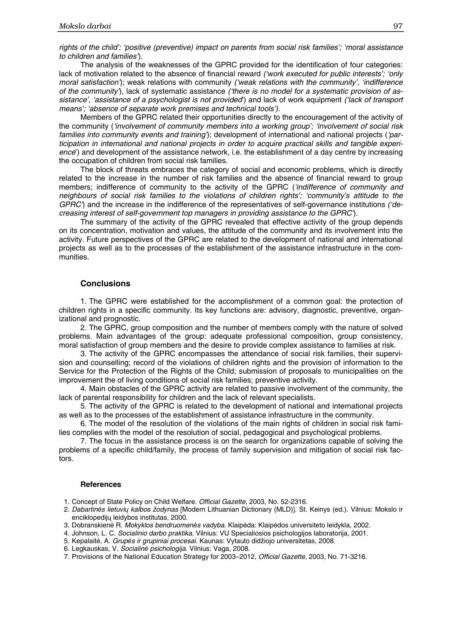*rights of the child'; 'positive (preventive) impact on parents from social risk families'; 'moral assistance to children and families'*).

The analysis of the weaknesses of the GPRC provided for the identification of four categories: lack of motivation related to the absence of financial reward *('work executed for public interests'; 'only moral satisfaction'*); weak relations with community *('weak relations with the community', 'indifference of the community'*), lack of systematic assistance *('there is no model for a systematic provision of assistance', 'assistance of a psychologist is not provided*') and lack of work equipment *('lack of transport means'; 'absence of separate work premises and technical tools').* 

Members of the GPRC related their opportunities directly to the encouragement of the activity of the community (*'involvement of community members into a working group'; 'involvement of social risk families into community events and training'*); development of international and national projects (*'participation in international and national projects in order to acquire practical skills and tangible experience*') and development of the assistance network, i.e. the establishment of a day centre by increasing the occupation of children from social risk families.

The block of threats embraces the category of social and economic problems, which is directly related to the increase in the number of risk families and the absence of financial reward to group members; indifference of community to the activity of the GPRC (*'indifference of community and neighbours of social risk families to the violations of children rights'; 'community's attitude to the GPRC'*) and the increase in the indifference of the representatives of self-governance institutions *('decreasing interest of self-government top managers in providing assistance to the GPRC'*).

The summary of the activity of the GPRC revealed that effective activity of the group depends on its concentration, motivation and values, the attitude of the community and its involvement into the activity. Future perspectives of the GPRC are related to the development of national and international projects as well as to the processes of the establishment of the assistance infrastructure in the communities.

# **Conclusions**

1. The GPRC were established for the accomplishment of a common goal: the protection of children rights in a specific community. Its key functions are: advisory, diagnostic, preventive, organizational and prognostic.

2. The GPRC, group composition and the number of members comply with the nature of solved problems. Main advantages of the group: adequate professional composition, group consistency, moral satisfaction of group members and the desire to provide complex assistance to families at risk.

3. The activity of the GPRC encompasses the attendance of social risk families, their supervision and counselling; record of the violations of children rights and the provision of information to the Service for the Protection of the Rights of the Child; submission of proposals to municipalities on the improvement the of living conditions of social risk families; preventive activity.

4. Main obstacles of the GPRC activity are related to passive involvement of the community, the lack of parental responsibility for children and the lack of relevant specialists.

5. The activity of the GPRC is related to the development of national and international projects as well as to the processes of the establishment of assistance infrastructure in the community.

6. The model of the resolution of the violations of the main rights of children in social risk families complies with the model of the resolution of social, pedagogical and psychological problems.

7. The focus in the assistance process is on the search for organizations capable of solving the problems of a specific child/family, the process of family supervision and mitigation of social risk factors.

# **References**

1. Concept of State Policy on Child Welfare. *Official Gazette,* 2003, No. 52-2316.

- 2. *Dabartin*ė*s lietuvi*ų *kalbos žodynas* [Modern Lithuanian Dictionary (MLD)]. St. Keinys (ed.). Vilnius: Mokslo ir enciklopedijų leidybos institutas, 2000.
- 3. Dobranskienė R. *Mokyklos bendruomen*ė*s vadyba*. Klaipėda: Klaipėdos universiteto leidykla, 2002.
- 4. Johnson, L. C. *Socialinio darbo praktika*. Vilnius: VU Specialiosios psichologijos laboratorija, 2001.
- 5. Kepalaitė, A. *Grup*ė*s ir grupiniai procesai*. Kaunas: Vytauto didžiojo universitetas, 2008.
- 6. Legkauskas, V. *Socialin*ė *psichologija*. Vilnius: Vaga, 2008.
- 7. Provisions of the National Education Strategy for 2003–2012, *Official Gazette,* 2003, No. 71-3216.